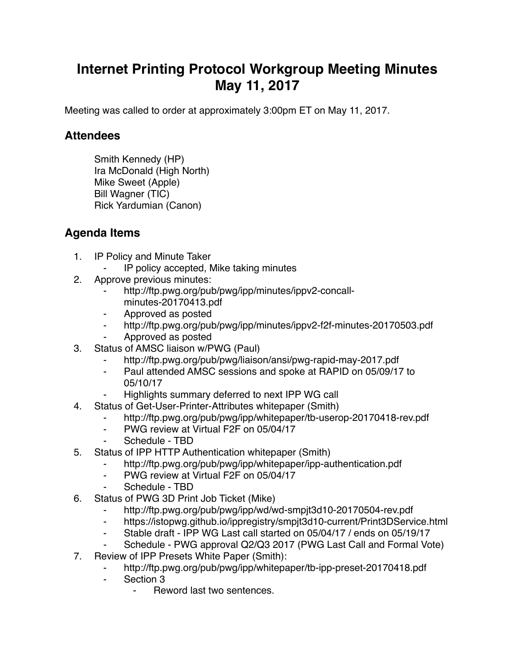## **Internet Printing Protocol Workgroup Meeting Minutes May 11, 2017**

Meeting was called to order at approximately 3:00pm ET on May 11, 2017.

## **Attendees**

Smith Kennedy (HP) Ira McDonald (High North) Mike Sweet (Apple) Bill Wagner (TIC) Rick Yardumian (Canon)

## **Agenda Items**

- 1. IP Policy and Minute Taker
	- ⁃ IP policy accepted, Mike taking minutes
- 2. Approve previous minutes:
	- http://ftp.pwg.org/pub/pwg/ipp/minutes/ippv2-concallminutes-20170413.pdf
	- ⁃ Approved as posted
	- ⁃ http://ftp.pwg.org/pub/pwg/ipp/minutes/ippv2-f2f-minutes-20170503.pdf
	- ⁃ Approved as posted
- 3. Status of AMSC liaison w/PWG (Paul)
	- http://ftp.pwg.org/pub/pwg/liaison/ansi/pwg-rapid-may-2017.pdf
	- ⁃ Paul attended AMSC sessions and spoke at RAPID on 05/09/17 to 05/10/17
	- Highlights summary deferred to next IPP WG call
- 4. Status of Get-User-Printer-Attributes whitepaper (Smith)
	- http://ftp.pwg.org/pub/pwg/ipp/whitepaper/tb-userop-20170418-rev.pdf
	- ⁃ PWG review at Virtual F2F on 05/04/17
	- Schedule TBD
- 5. Status of IPP HTTP Authentication whitepaper (Smith)
	- ⁃ http://ftp.pwg.org/pub/pwg/ipp/whitepaper/ipp-authentication.pdf
	- PWG review at Virtual F2F on 05/04/17
	- Schedule TBD
- 6. Status of PWG 3D Print Job Ticket (Mike)
	- http://ftp.pwg.org/pub/pwg/ipp/wd/wd-smpjt3d10-20170504-rev.pdf
	- ⁃ https://istopwg.github.io/ippregistry/smpjt3d10-current/Print3DService.html
	- ⁃ Stable draft IPP WG Last call started on 05/04/17 / ends on 05/19/17
	- Schedule PWG approval Q2/Q3 2017 (PWG Last Call and Formal Vote)
- 7. Review of IPP Presets White Paper (Smith):
	- http://ftp.pwg.org/pub/pwg/ipp/whitepaper/tb-ipp-preset-20170418.pdf
	- ⁃ Section 3
		- ⁃ Reword last two sentences.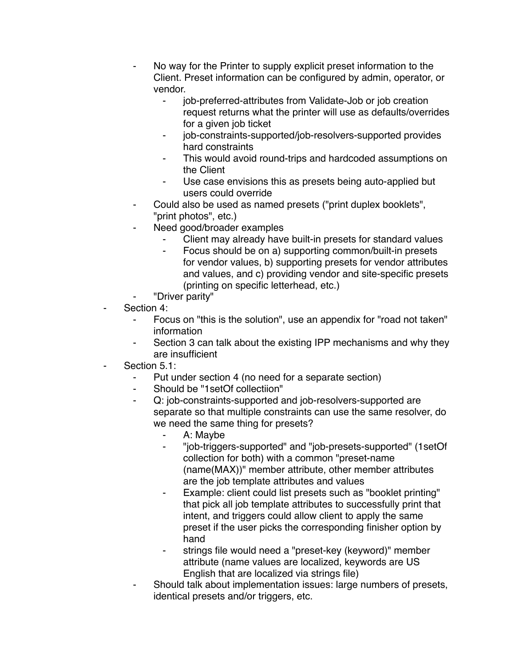- No way for the Printer to supply explicit preset information to the Client. Preset information can be configured by admin, operator, or vendor.
	- ⁃ job-preferred-attributes from Validate-Job or job creation request returns what the printer will use as defaults/overrides for a given job ticket
	- ⁃ job-constraints-supported/job-resolvers-supported provides hard constraints
	- This would avoid round-trips and hardcoded assumptions on the Client
	- Use case envisions this as presets being auto-applied but users could override
- Could also be used as named presets ("print duplex booklets", "print photos", etc.)
- ⁃ Need good/broader examples
	- Client may already have built-in presets for standard values
	- ⁃ Focus should be on a) supporting common/built-in presets for vendor values, b) supporting presets for vendor attributes and values, and c) providing vendor and site-specific presets (printing on specific letterhead, etc.)
- ⁃ "Driver parity"
- Section 4:
	- Focus on "this is the solution", use an appendix for "road not taken" information
	- ⁃ Section 3 can talk about the existing IPP mechanisms and why they are insufficient
- Section 5.1:
	- ⁃ Put under section 4 (no need for a separate section)
	- Should be "1setOf collectiion"
	- Q: job-constraints-supported and job-resolvers-supported are separate so that multiple constraints can use the same resolver, do we need the same thing for presets?
		- A: Maybe
		- ⁃ "job-triggers-supported" and "job-presets-supported" (1setOf collection for both) with a common "preset-name (name(MAX))" member attribute, other member attributes are the job template attributes and values
		- ⁃ Example: client could list presets such as "booklet printing" that pick all job template attributes to successfully print that intent, and triggers could allow client to apply the same preset if the user picks the corresponding finisher option by hand
		- strings file would need a "preset-key (keyword)" member attribute (name values are localized, keywords are US English that are localized via strings file)
	- Should talk about implementation issues: large numbers of presets, identical presets and/or triggers, etc.